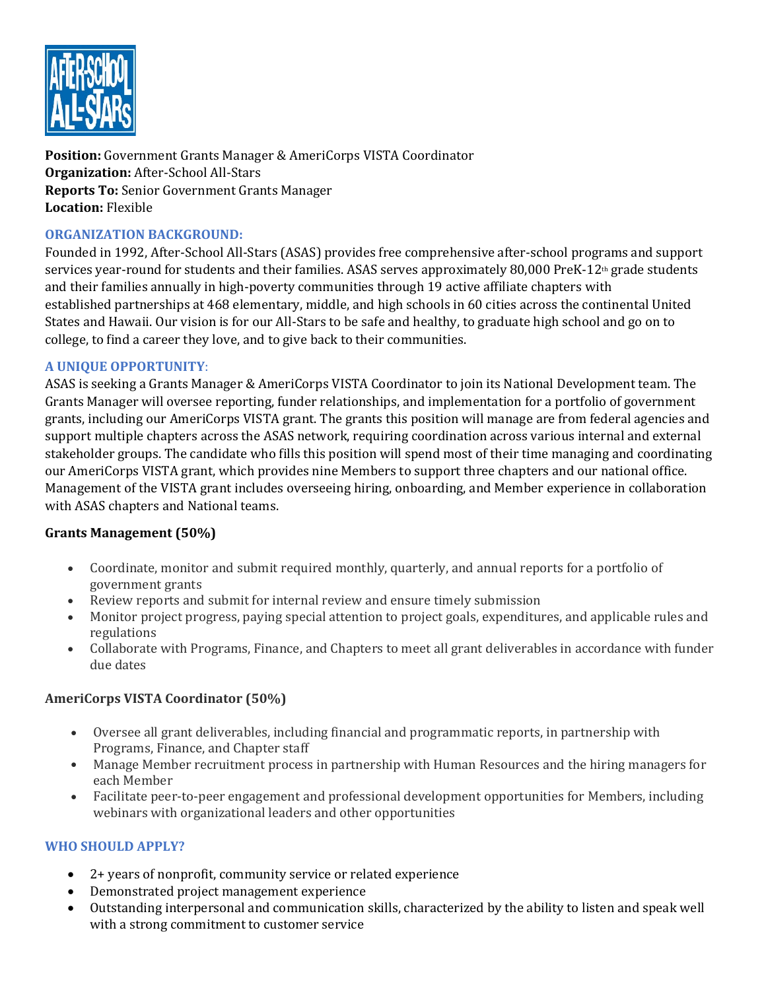

**Position:** Government Grants Manager & AmeriCorps VISTA Coordinator **Organization:** After-School All-Stars **Reports To:** Senior Government Grants Manager **Location:** Flexible

# **ORGANIZATION BACKGROUND:**

Founded in 1992, After-School All-Stars (ASAS) provides free comprehensive after-school programs and support services year-round for students and their families. ASAS serves approximately 80,000 PreK-12<sup>th</sup> grade students and their families annually in high-poverty communities through 19 active affiliate chapters with established partnerships at 468 elementary, middle, and high schools in 60 cities across the continental United States and Hawaii. Our vision is for our All-Stars to be safe and healthy, to graduate high school and go on to college, to find a career they love, and to give back to their communities.

## **A UNIQUE OPPORTUNITY**:

ASAS is seeking a Grants Manager & AmeriCorps VISTA Coordinator to join its National Development team. The Grants Manager will oversee reporting, funder relationships, and implementation for a portfolio of government grants, including our AmeriCorps VISTA grant. The grants this position will manage are from federal agencies and support multiple chapters across the ASAS network, requiring coordination across various internal and external stakeholder groups. The candidate who fills this position will spend most of their time managing and coordinating our AmeriCorps VISTA grant, which provides nine Members to support three chapters and our national office. Management of the VISTA grant includes overseeing hiring, onboarding, and Member experience in collaboration with ASAS chapters and National teams.

## **Grants Management (50%)**

- Coordinate, monitor and submit required monthly, quarterly, and annual reports for a portfolio of government grants
- Review reports and submit for internal review and ensure timely submission
- Monitor project progress, paying special attention to project goals, expenditures, and applicable rules and regulations
- Collaborate with Programs, Finance, and Chapters to meet all grant deliverables in accordance with funder due dates

## **AmeriCorps VISTA Coordinator (50%)**

- Oversee all grant deliverables, including financial and programmatic reports, in partnership with Programs, Finance, and Chapter staff
- Manage Member recruitment process in partnership with Human Resources and the hiring managers for each Member
- Facilitate peer-to-peer engagement and professional development opportunities for Members, including webinars with organizational leaders and other opportunities

# **WHO SHOULD APPLY?**

- 2+ years of nonprofit, community service or related experience
- Demonstrated project management experience
- Outstanding interpersonal and communication skills, characterized by the ability to listen and speak well with a strong commitment to customer service